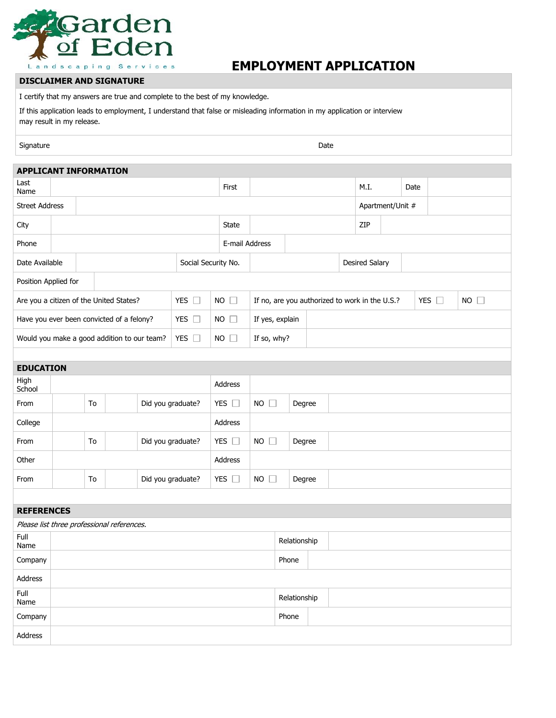

## **EMPLOYMENT APPLICATION**

## **DISCLAIMER AND SIGNATURE**

I certify that my answers are true and complete to the best of my knowledge.

If this application leads to employment, I understand that false or misleading information in my application or interview may result in my release.

Signature Date Date of the Contract of the Contract of the Contract of the Date Date Date Date of the Date of the Date of the Date of the Date of the Date of the Date of the Date of the Date of the Date of the Date of the

| <b>APPLICANT INFORMATION</b>                               |                     |                         |  |  |                   |               |                |                       |                                                                                |        |  |                       |  |                  |  |  |  |  |
|------------------------------------------------------------|---------------------|-------------------------|--|--|-------------------|---------------|----------------|-----------------------|--------------------------------------------------------------------------------|--------|--|-----------------------|--|------------------|--|--|--|--|
| Last<br>Name                                               |                     |                         |  |  |                   |               | First          |                       |                                                                                |        |  | M.I.                  |  | Date             |  |  |  |  |
| <b>Street Address</b>                                      |                     |                         |  |  |                   |               |                |                       |                                                                                |        |  |                       |  | Apartment/Unit # |  |  |  |  |
| City                                                       |                     |                         |  |  |                   |               | <b>State</b>   |                       |                                                                                |        |  | ZIP                   |  |                  |  |  |  |  |
| Phone                                                      |                     |                         |  |  |                   |               | E-mail Address |                       |                                                                                |        |  |                       |  |                  |  |  |  |  |
| Date Available                                             | Social Security No. |                         |  |  |                   |               |                |                       |                                                                                |        |  | <b>Desired Salary</b> |  |                  |  |  |  |  |
| Position Applied for                                       |                     |                         |  |  |                   |               |                |                       |                                                                                |        |  |                       |  |                  |  |  |  |  |
| YES $\square$<br>Are you a citizen of the United States?   |                     |                         |  |  |                   |               | $NO$ $\Box$    |                       | If no, are you authorized to work in the U.S.?<br>YES $\square$<br>$NO$ $\Box$ |        |  |                       |  |                  |  |  |  |  |
| Have you ever been convicted of a felony?<br>YES $\square$ |                     |                         |  |  |                   | $NO$ $\Box$   |                | If yes, explain       |                                                                                |        |  |                       |  |                  |  |  |  |  |
| Would you make a good addition to our team?                |                     |                         |  |  | YES $\square$     |               | $NO$ $\Box$    | If so, why?           |                                                                                |        |  |                       |  |                  |  |  |  |  |
|                                                            |                     |                         |  |  |                   |               |                |                       |                                                                                |        |  |                       |  |                  |  |  |  |  |
| <b>EDUCATION</b>                                           |                     |                         |  |  |                   |               |                |                       |                                                                                |        |  |                       |  |                  |  |  |  |  |
| High<br>School                                             |                     |                         |  |  |                   |               | Address        |                       |                                                                                |        |  |                       |  |                  |  |  |  |  |
| From                                                       |                     | To                      |  |  | Did you graduate? |               | YES $\square$  | $NO$ $\Box$           |                                                                                | Degree |  |                       |  |                  |  |  |  |  |
| College                                                    |                     |                         |  |  |                   |               | Address        |                       |                                                                                |        |  |                       |  |                  |  |  |  |  |
| From                                                       |                     | To<br>Did you graduate? |  |  |                   | YES $\square$ |                | $NO$ $\Box$<br>Degree |                                                                                |        |  |                       |  |                  |  |  |  |  |
| Other                                                      |                     |                         |  |  |                   |               | Address        |                       |                                                                                |        |  |                       |  |                  |  |  |  |  |
| From                                                       |                     | Did you graduate?<br>To |  |  |                   |               | YES $\square$  |                       | $NO$ $\Box$<br>Degree                                                          |        |  |                       |  |                  |  |  |  |  |
|                                                            |                     |                         |  |  |                   |               |                |                       |                                                                                |        |  |                       |  |                  |  |  |  |  |
| <b>REFERENCES</b>                                          |                     |                         |  |  |                   |               |                |                       |                                                                                |        |  |                       |  |                  |  |  |  |  |
| Please list three professional references.                 |                     |                         |  |  |                   |               |                |                       |                                                                                |        |  |                       |  |                  |  |  |  |  |
| Full<br>Name                                               |                     |                         |  |  |                   |               |                |                       | Relationship                                                                   |        |  |                       |  |                  |  |  |  |  |
| Company                                                    |                     |                         |  |  |                   |               |                |                       |                                                                                | Phone  |  |                       |  |                  |  |  |  |  |
| Address                                                    |                     |                         |  |  |                   |               |                |                       |                                                                                |        |  |                       |  |                  |  |  |  |  |
| Full<br>Name                                               |                     |                         |  |  |                   |               |                |                       | Relationship                                                                   |        |  |                       |  |                  |  |  |  |  |
| Company                                                    |                     |                         |  |  |                   |               |                |                       | Phone                                                                          |        |  |                       |  |                  |  |  |  |  |
| Address                                                    |                     |                         |  |  |                   |               |                |                       |                                                                                |        |  |                       |  |                  |  |  |  |  |